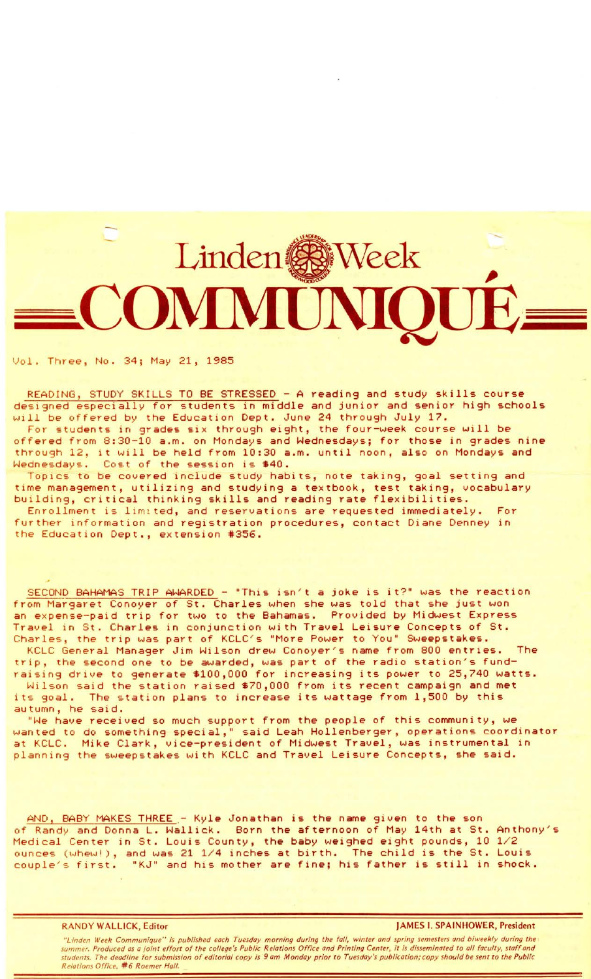## Linden & Week OMMUN

Vol. Three, No. 34; May 21, 1985

READING, STUDY SKILLS TO BE STRESSED - A reading and study skills course designed especially for students in middle and junior and senior high schools will be offered by the Education Dept. June 24 through July 17. For students in grades six through eight, the four-week course will be offered from 8:30-10 a.m. on Mondays and Wednesdays; for those in grades nine through 12, it will be held from 10:30 a.m. until noon, also on Mondays and Cost of the session is \$40.

Topics to be covered include study habits, note taking, goal setting and time management, utilizing and studying a textbook, test taking, vocabulary building, critical thinking skills and reading rate flexibilities. Enrollment is limited, and reservations are requested immediately. For further information and registration procedures, contact Diane Denney in the Education Dept., extension #356.

SECOND BAHAMAS TRIP AWARDED - "This isn't a joke is it?" was the reaction from Margaret Conoyer of St. Charles when she was told that she just won an expense-paid trip for two to the Bahamas. Provided by Midwest Express Travel in St. Charles in conjunction with Travel Leisure Concepts of St. Charles, the trip was part of KCLC's "More Power to You" Sweepstakes.

KCLC General Manager Jim Wilson drew Conoyer's name from 800 entries. The trip, the second one to be awarded, was part of the radio station's fundraising drive to generate \$100,000 for increasing its power to 25,740 watts. Wilson said the station raised \$70,000 from its recent campaign and met

its goal. The station plans to increase its wattage from 1,500 by this autumn, he said.

"We have received so much support from the people of this community, we wanted to do something special," said Leah Hollenberger, operations coordinator at KCLC. Mike Clark, vice-president of Midwest Travel, was instrumental in planning the sweepstakes with KCLC and Travel Leisure Concepts, she said.

AND, BABY MAKES THREE .- Kyle Jonathan is the name given to the son of Randy and Donna L. Wallick. Born the afternoon of May 14th at St. Anthony's Medical Center in St. Louis County, the baby weighed eight pounds, 10 1/2 ounces (whew!), and was 21 1/4 inches at birth. The child is the St. Louis couple's first. "KJ" and his mother are fine; his father is still in shock.

**RANDY WALLICK,** Editor **JAMES** I. **SPAINHOWER, President** 

"Linden Week Communique" is published each Tuesday morning during the fall, winter and spring semesters and biweekly during the summer. Produced as a joint effort of the college's Public Relations Office and Printing Center, it is disseminated to all faculty, staff and students. The deadline for submission of editorial copy is 9 am Monday prior to Tuesday's publication; copy should be sent to the Public Relations Office, #6 Roemer Hall.